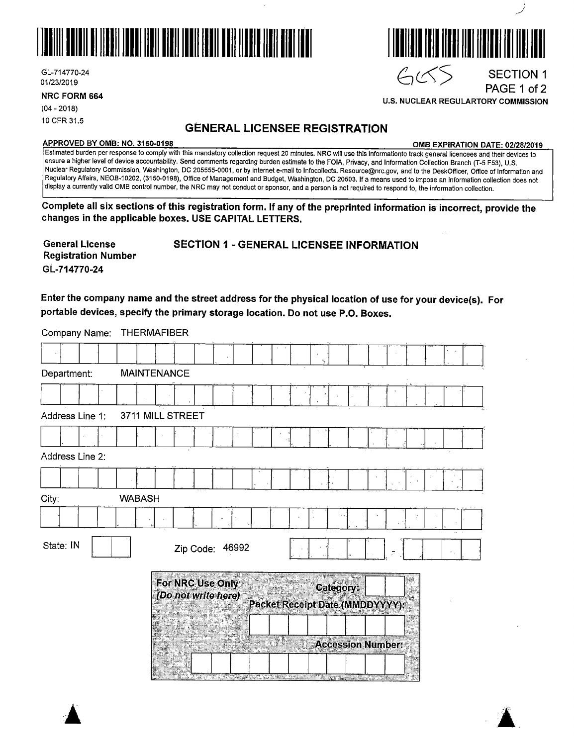

GL-714770-24 01/23/2019

**NRC FORM 664** 

(04 - 2018) 10 CFR 31.5

### **GENERAL LICENSEE REGISTRATION**

#### **APPROVED BY 0MB: NO. 3150-0198 0MB EXPIRATION DATE: 02/28/20'19**

Estimated burden per response to comply with this mandatory collection request 20 minutes. NRG will use this informationto track general licencees and their devices to ensure a higher level of device accountability. Send comments regarding burden estimate to the FOIA, Privacy, and Information Collection Branch (T-5 F53), U.S. Nuclear Regulatory Commission, Washington, DC 205555-0001, or by internet e-mail to lnfocollects. Resource@nrc.gov, and to the DeskOfficer, Office of Information and Regulatory Affairs, NEOB-10202, (3150-0198), Office of Management and Budget, Washington, DC 20503. If a means used to impose an information collection does not display a currently valid 0MB control number, the NRG may not conduct or sponsor, and a person is not required to respond to, the information collection.

**Complete all six sections of this registration form. If any of the preprinted information is incorrect, provide the changes in the applicable boxes. USE CAPITAL LETTERS.** 

**General License Registration Number GL-714770-24** 

**SECTION 1** - **GENERAL LICENSEE INFORMATION** 

**Enter the company name and the street address for the physical location of use for your device(s). For portable devices, specify the primary storage location. Do not use P.O. Boxes.** 

Company Name: THERMAFIBER

| Department:     | <b>MAINTENANCE</b>                                                                      |
|-----------------|-----------------------------------------------------------------------------------------|
|                 |                                                                                         |
| Address Line 1: | 3711 MILL STREET                                                                        |
|                 |                                                                                         |
| Address Line 2: |                                                                                         |
|                 |                                                                                         |
| City:           | <b>WABASH</b>                                                                           |
|                 |                                                                                         |
| State: IN       | Zip Code: 46992<br>$\sim$ $_{\star}$                                                    |
|                 | For NRC Use Only<br>Category:<br>(Do not write here)<br>Packet Receipt Date (MMDDYYYY): |
|                 |                                                                                         |



**U.S. NUCLEAR REGULARTORY COMMISSION** 

PAGE 1 of 2

 $\blacktriangle$   $\blacktriangle$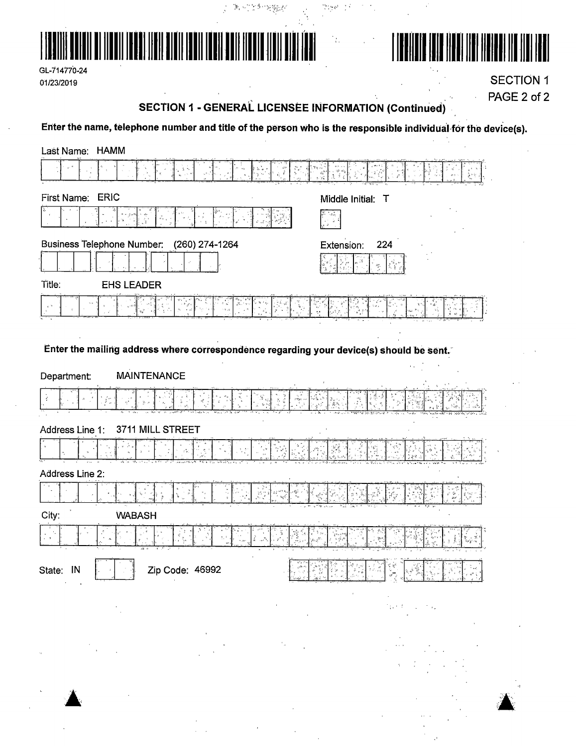





**SECTION 1** PAGE 2 of 2

### **SECTION 1 - GENERAL LICENSEE INFORMATION (Continued)**

 $\mathcal{F}(\mathcal{F})$ 

 $\Omega_{\rm DM}$  is the  $\Omega_{\rm DM}$ 

 $\mathcal{I}_{\mathcal{G}_\mathcal{G}}$ 

Enter the name, telephone number and title of the person who is the responsible individual for the device(s).

 $\mathcal{F}_{\mathbf{r}} \leftarrow \mathcal{F}^{\mathcal{A}_{\mathbf{r}}}\otimes \mathcal{G}^{\mathcal{A}_{\mathbf{r}}}_{\mathbf{r}}$ 

 $\mathcal{L}$ 

| Last Name: HAMM                                                                         |                                                                                                                                                                                                                                                                                                                                                                                                                                                                                                                                                                  |
|-----------------------------------------------------------------------------------------|------------------------------------------------------------------------------------------------------------------------------------------------------------------------------------------------------------------------------------------------------------------------------------------------------------------------------------------------------------------------------------------------------------------------------------------------------------------------------------------------------------------------------------------------------------------|
|                                                                                         |                                                                                                                                                                                                                                                                                                                                                                                                                                                                                                                                                                  |
| <b>ERIC</b><br>First Name:                                                              | Middle Initial: T                                                                                                                                                                                                                                                                                                                                                                                                                                                                                                                                                |
|                                                                                         |                                                                                                                                                                                                                                                                                                                                                                                                                                                                                                                                                                  |
| <b>Business Telephone Number:</b><br>(260) 274-1264                                     | Extension:<br>224                                                                                                                                                                                                                                                                                                                                                                                                                                                                                                                                                |
|                                                                                         |                                                                                                                                                                                                                                                                                                                                                                                                                                                                                                                                                                  |
| Title:<br><b>EHS LEADER</b>                                                             |                                                                                                                                                                                                                                                                                                                                                                                                                                                                                                                                                                  |
|                                                                                         |                                                                                                                                                                                                                                                                                                                                                                                                                                                                                                                                                                  |
|                                                                                         |                                                                                                                                                                                                                                                                                                                                                                                                                                                                                                                                                                  |
| Enter the mailing address where correspondence regarding your device(s) should be sent. |                                                                                                                                                                                                                                                                                                                                                                                                                                                                                                                                                                  |
| <b>MAINTENANCE</b><br>Department:                                                       |                                                                                                                                                                                                                                                                                                                                                                                                                                                                                                                                                                  |
|                                                                                         |                                                                                                                                                                                                                                                                                                                                                                                                                                                                                                                                                                  |
|                                                                                         |                                                                                                                                                                                                                                                                                                                                                                                                                                                                                                                                                                  |
| Address Line 1:<br>3711 MILL STREET                                                     |                                                                                                                                                                                                                                                                                                                                                                                                                                                                                                                                                                  |
|                                                                                         |                                                                                                                                                                                                                                                                                                                                                                                                                                                                                                                                                                  |
| Address Line 2:                                                                         |                                                                                                                                                                                                                                                                                                                                                                                                                                                                                                                                                                  |
| $\mathbb{R}^n$                                                                          |                                                                                                                                                                                                                                                                                                                                                                                                                                                                                                                                                                  |
| City:<br><b>WABASH</b>                                                                  |                                                                                                                                                                                                                                                                                                                                                                                                                                                                                                                                                                  |
|                                                                                         |                                                                                                                                                                                                                                                                                                                                                                                                                                                                                                                                                                  |
| ٦<br>State: IN<br>Zip Code: 46992                                                       | ŃГ<br>111 Y.A<br>73.4%<br>$\begin{split} \frac{1}{\left(\begin{array}{c} 1 \leq \alpha \leq 1 \\ \alpha \leq 1 \end{array}\right)} \left( \begin{array}{c} 1 \leq \alpha \leq 1 \\ \alpha \leq 1 \end{array}\right) \left( \begin{array}{c} 1 \leq \alpha \leq 1 \\ \alpha \leq 1 \end{array}\right) \left( \begin{array}{c} 1 \leq \alpha \leq 1 \\ \alpha \leq 1 \end{array}\right) \left( \begin{array}{c} 1 \leq \alpha \leq 1 \\ \alpha \leq 1 \end{array}\right) \left( \begin{array}{c} 1 \leq \alpha \leq 1 \\ \alpha \$<br>$\left  \cdot \right\rangle$ |
|                                                                                         | iga tilba                                                                                                                                                                                                                                                                                                                                                                                                                                                                                                                                                        |
|                                                                                         |                                                                                                                                                                                                                                                                                                                                                                                                                                                                                                                                                                  |
| $\hat{\phi}$                                                                            |                                                                                                                                                                                                                                                                                                                                                                                                                                                                                                                                                                  |
|                                                                                         |                                                                                                                                                                                                                                                                                                                                                                                                                                                                                                                                                                  |
| ¢                                                                                       |                                                                                                                                                                                                                                                                                                                                                                                                                                                                                                                                                                  |
|                                                                                         |                                                                                                                                                                                                                                                                                                                                                                                                                                                                                                                                                                  |

 $\sim 10^{11}$  km  $^{-1}$ 

 $\bar{\alpha}$ 

 $\bar{\lambda}$ 

 $\mathbb{R}^4$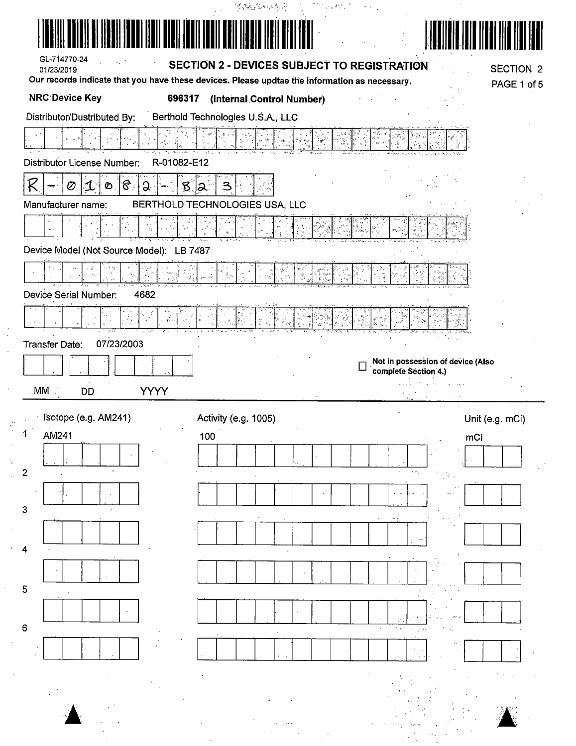|                                                                                               | $\frac{d}{dt}\sqrt{2}\sqrt{2}\frac{d}{dt}\left(\frac{d}{dt}\left(\frac{d}{dt}\right)+\frac{d}{dt}\left(\frac{d}{dt}\right)\right)\sqrt{2}$ | minus egun |                                                           |                  |
|-----------------------------------------------------------------------------------------------|--------------------------------------------------------------------------------------------------------------------------------------------|------------|-----------------------------------------------------------|------------------|
|                                                                                               |                                                                                                                                            |            |                                                           |                  |
| GL-714770-24<br>$\sim$ $\sim$<br>01/23/2019                                                   | SECTION 2 - DEVICES SUBJECT TO REGISTRATION                                                                                                |            |                                                           | <b>SECTION 2</b> |
| Our records indicate that you have these devices. Please updtae the information as necessary. |                                                                                                                                            |            |                                                           | PAGE 1 of 5      |
| <b>NRC Device Key</b><br>696317                                                               | (Internal Control Number)                                                                                                                  |            |                                                           |                  |
| Distributor/Dustributed By:                                                                   | Berthold Technologies U.S.A., LLC                                                                                                          |            |                                                           |                  |
|                                                                                               |                                                                                                                                            |            |                                                           |                  |
| R-01082-E12<br><b>Distributor License Number:</b>                                             |                                                                                                                                            |            |                                                           |                  |
| ंहै :<br>K<br>$\mathbf{\mathbf{1}}$<br>ୁ<br>Ø<br>B<br>Ø                                       | 3<br>၊ခ                                                                                                                                    |            |                                                           |                  |
| Manufacturer name:                                                                            | BERTHOLD TECHNOLOGIES USA, LLC                                                                                                             |            |                                                           |                  |
| $\bar{\nu}$                                                                                   |                                                                                                                                            |            |                                                           |                  |
| Device Model (Not Source Model): LB 7487                                                      |                                                                                                                                            |            |                                                           |                  |
|                                                                                               |                                                                                                                                            |            |                                                           |                  |
| 4682<br>Device Serial Number:                                                                 |                                                                                                                                            |            |                                                           |                  |
| √a<br>a                                                                                       |                                                                                                                                            |            |                                                           |                  |
|                                                                                               |                                                                                                                                            |            |                                                           |                  |
| 07/23/2003<br>Transfer Date:                                                                  |                                                                                                                                            |            |                                                           |                  |
|                                                                                               |                                                                                                                                            | L          | Not in possession of device (Also<br>complete Section 4.) |                  |
| MM<br><b>YYYY</b><br><b>DD</b>                                                                |                                                                                                                                            |            | .<br>$\sim$<br>t vir                                      |                  |
| Isotope (e.g. AM241)                                                                          | Activity (e.g. 1005)                                                                                                                       |            |                                                           | Unit (e.g. mCi)  |
| 1<br>AM241                                                                                    | 100                                                                                                                                        |            |                                                           | mCi              |
|                                                                                               |                                                                                                                                            |            |                                                           |                  |
| $\overline{2}$                                                                                |                                                                                                                                            |            | $\sim$<br>$\epsilon \neq \epsilon$<br>R.                  |                  |
|                                                                                               |                                                                                                                                            |            | $\sim$ $\pm$                                              |                  |
| 3                                                                                             |                                                                                                                                            |            |                                                           |                  |
|                                                                                               |                                                                                                                                            |            |                                                           |                  |
| 4                                                                                             |                                                                                                                                            |            |                                                           |                  |
|                                                                                               |                                                                                                                                            |            |                                                           |                  |
| 5                                                                                             |                                                                                                                                            |            |                                                           |                  |
|                                                                                               |                                                                                                                                            |            |                                                           |                  |
| $\mathbf 6$                                                                                   |                                                                                                                                            |            |                                                           |                  |
|                                                                                               |                                                                                                                                            |            |                                                           |                  |
|                                                                                               |                                                                                                                                            |            |                                                           |                  |
|                                                                                               |                                                                                                                                            |            |                                                           |                  |
|                                                                                               |                                                                                                                                            |            |                                                           |                  |
|                                                                                               |                                                                                                                                            |            |                                                           |                  |
|                                                                                               |                                                                                                                                            |            |                                                           |                  |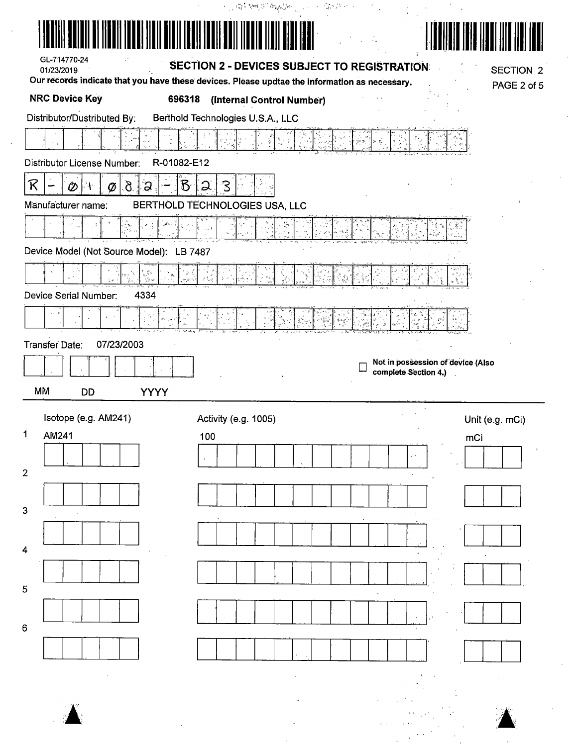| GL-714770-24<br>01/23/2019<br>Our records indicate that you have these devices. Please updtae the information as necessary.                       | <b>SECTION 2 - DEVICES SUBJECT TO REGISTRATION:</b>                                                                                                                                                                                                                                                                                                                                                                                                                                                                                          |                                                           | <b>SECTION 2</b>       |
|---------------------------------------------------------------------------------------------------------------------------------------------------|----------------------------------------------------------------------------------------------------------------------------------------------------------------------------------------------------------------------------------------------------------------------------------------------------------------------------------------------------------------------------------------------------------------------------------------------------------------------------------------------------------------------------------------------|-----------------------------------------------------------|------------------------|
| <b>NRC Device Key</b>                                                                                                                             | 696318<br>(Internal Control Number)                                                                                                                                                                                                                                                                                                                                                                                                                                                                                                          |                                                           | PAGE 2 of 5            |
| Distributor/Dustributed By:                                                                                                                       | Berthold Technologies U.S.A., LLC                                                                                                                                                                                                                                                                                                                                                                                                                                                                                                            |                                                           |                        |
|                                                                                                                                                   |                                                                                                                                                                                                                                                                                                                                                                                                                                                                                                                                              |                                                           |                        |
| Distributor License Number:<br>R-01082-E12                                                                                                        |                                                                                                                                                                                                                                                                                                                                                                                                                                                                                                                                              |                                                           |                        |
| R<br>$\delta$<br>ွာ<br>ÔĎ                                                                                                                         | $\mathcal{B}% _{t}\left( t\right) \equiv\mathcal{A}_{t}\left( t\right) \equiv\mathcal{A}_{t}\left( t\right) \equiv\mathcal{A}_{t}\left( t\right) \equiv\mathcal{A}_{t}\left( t\right) \equiv\mathcal{A}_{t}\left( t\right) \equiv\mathcal{A}_{t}\left( t\right) \equiv\mathcal{A}_{t}\left( t\right) \equiv\mathcal{A}_{t}\left( t\right) \equiv\mathcal{A}_{t}\left( t\right) \equiv\mathcal{A}_{t}\left( t\right) \equiv\mathcal{A}_{t}\left( t\right) \equiv\mathcal{A}_{t}\left( t\right) \equiv\mathcal{A}_{t}\left($<br>ેડ<br>$\Omega$ |                                                           |                        |
| Manufacturer name:                                                                                                                                | BERTHOLD TECHNOLOGIES USA, LLC                                                                                                                                                                                                                                                                                                                                                                                                                                                                                                               |                                                           |                        |
|                                                                                                                                                   |                                                                                                                                                                                                                                                                                                                                                                                                                                                                                                                                              |                                                           |                        |
| Device Model (Not Source Model): LB 7487                                                                                                          |                                                                                                                                                                                                                                                                                                                                                                                                                                                                                                                                              |                                                           |                        |
| $\frac{\partial}{\partial \phi} \frac{\partial}{\partial \phi} = \frac{1}{2} \frac{\partial}{\partial \phi} \frac{\partial}{\partial \phi}$<br>¢. |                                                                                                                                                                                                                                                                                                                                                                                                                                                                                                                                              |                                                           |                        |
| Device Serial Number:<br>4334                                                                                                                     |                                                                                                                                                                                                                                                                                                                                                                                                                                                                                                                                              |                                                           |                        |
|                                                                                                                                                   |                                                                                                                                                                                                                                                                                                                                                                                                                                                                                                                                              |                                                           |                        |
| 07/23/2003<br>Transfer Date:                                                                                                                      |                                                                                                                                                                                                                                                                                                                                                                                                                                                                                                                                              |                                                           |                        |
|                                                                                                                                                   |                                                                                                                                                                                                                                                                                                                                                                                                                                                                                                                                              | Not in possession of device (Also<br>complete Section 4.) |                        |
| MM<br><b>DD</b><br><b>YYYY</b>                                                                                                                    |                                                                                                                                                                                                                                                                                                                                                                                                                                                                                                                                              |                                                           |                        |
|                                                                                                                                                   |                                                                                                                                                                                                                                                                                                                                                                                                                                                                                                                                              |                                                           |                        |
|                                                                                                                                                   |                                                                                                                                                                                                                                                                                                                                                                                                                                                                                                                                              |                                                           |                        |
| Isotope (e.g. AM241)<br>$\mathbf 1$<br>AM241                                                                                                      | Activity (e.g. 1005)<br>100                                                                                                                                                                                                                                                                                                                                                                                                                                                                                                                  |                                                           | Unit (e.g. mCi)<br>mCi |
|                                                                                                                                                   |                                                                                                                                                                                                                                                                                                                                                                                                                                                                                                                                              |                                                           |                        |
| $\mathbf{2}$                                                                                                                                      |                                                                                                                                                                                                                                                                                                                                                                                                                                                                                                                                              |                                                           |                        |
|                                                                                                                                                   |                                                                                                                                                                                                                                                                                                                                                                                                                                                                                                                                              |                                                           |                        |
| 3                                                                                                                                                 |                                                                                                                                                                                                                                                                                                                                                                                                                                                                                                                                              |                                                           |                        |
|                                                                                                                                                   |                                                                                                                                                                                                                                                                                                                                                                                                                                                                                                                                              |                                                           |                        |
| 4                                                                                                                                                 |                                                                                                                                                                                                                                                                                                                                                                                                                                                                                                                                              |                                                           |                        |
|                                                                                                                                                   |                                                                                                                                                                                                                                                                                                                                                                                                                                                                                                                                              |                                                           |                        |
| 5                                                                                                                                                 |                                                                                                                                                                                                                                                                                                                                                                                                                                                                                                                                              |                                                           |                        |
| 6                                                                                                                                                 |                                                                                                                                                                                                                                                                                                                                                                                                                                                                                                                                              |                                                           |                        |
|                                                                                                                                                   |                                                                                                                                                                                                                                                                                                                                                                                                                                                                                                                                              |                                                           |                        |
|                                                                                                                                                   |                                                                                                                                                                                                                                                                                                                                                                                                                                                                                                                                              |                                                           |                        |
|                                                                                                                                                   |                                                                                                                                                                                                                                                                                                                                                                                                                                                                                                                                              |                                                           |                        |

 $\ddot{\phantom{a}}$ 

 $\label{eq:2} \frac{1}{\sqrt{2}}\left(\frac{1}{4}\right)^{1/2}\left(\frac{1}{4}\right)^{1/2}$ 

 $\sim$ 

 $\sim 10^{-1}$ 

 $\hat{\mathcal{A}}$ 

 $\hat{\boldsymbol{\gamma}}$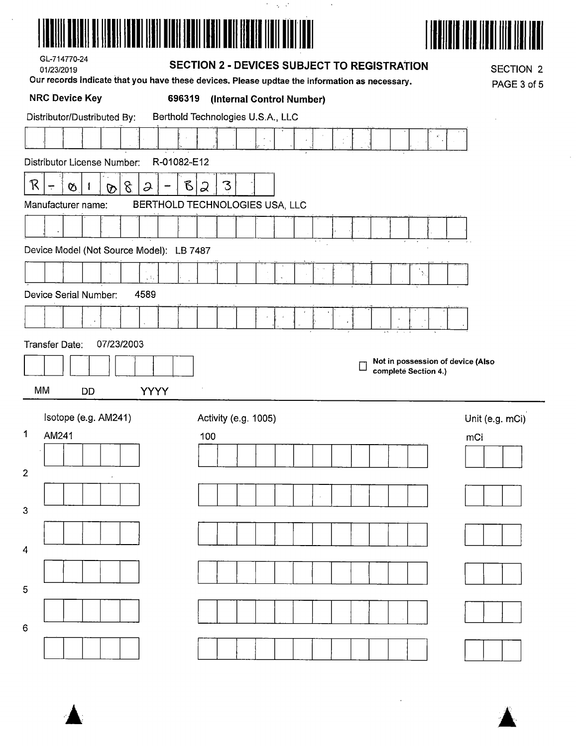

 $\hat{\boldsymbol{\beta}}$ 

|                                        | $\mathcal{C}=\mathcal{C}^{\mathcal{C}}$ , $\mathcal{C}^{\mathcal{C}}$<br>$\Lambda$                                   |                  |
|----------------------------------------|----------------------------------------------------------------------------------------------------------------------|------------------|
|                                        | <u>HARALDA SERIA (1951) LA SERIA CARDINAL EN LA SERIA CARDINA DE LA SERIA CARDINA DE LA SERIA CARDINA DE LA SERI</u> | W                |
| GL-714770-24<br>01/23/2019             | <b>SECTION 2 - DEVICES SUBJECT TO REGISTRATION</b>                                                                   | <b>SECTION 2</b> |
|                                        | Our records indicate that you have these devices. Please updtae the information as necessary.                        | PAGE 3 of 5      |
| <b>NRC Device Key</b>                  | 696319<br>(Internal Control Number)                                                                                  |                  |
| Distributor/Dustributed By:            | Berthold Technologies U.S.A., LLC                                                                                    |                  |
|                                        |                                                                                                                      |                  |
| Distributor License Number:            | R-01082-E12                                                                                                          |                  |
| R<br>8<br>$\mathcal{L}$<br>Ø<br>÷<br>℗ | B<br>З<br>2                                                                                                          |                  |
| Manufacturer name:                     | BERTHOLD TECHNOLOGIES USA, LLC                                                                                       |                  |
|                                        |                                                                                                                      |                  |
| Device Model (Not Source Model):       | LB 7487                                                                                                              |                  |
|                                        |                                                                                                                      |                  |
| $\sqrt{s}$                             | Ņ,                                                                                                                   |                  |
| 4589<br>Device Serial Number:          |                                                                                                                      |                  |
|                                        |                                                                                                                      |                  |
| 07/23/2003<br>Transfer Date:           |                                                                                                                      |                  |
|                                        | Not in possession of device (Also<br>complete Section 4.)                                                            |                  |
| MM<br><b>YYYY</b><br><b>DD</b>         |                                                                                                                      |                  |
|                                        |                                                                                                                      |                  |
| Isotope (e.g. AM241)                   | Activity (e.g. 1005)                                                                                                 | Unit (e.g. mCi)  |
| 1<br>AM241                             | 100                                                                                                                  | mCi              |
|                                        |                                                                                                                      |                  |
| $\overline{2}$                         |                                                                                                                      |                  |
|                                        |                                                                                                                      |                  |
| 3                                      |                                                                                                                      |                  |
|                                        |                                                                                                                      |                  |
| $\boldsymbol{4}$                       |                                                                                                                      |                  |
| 5                                      |                                                                                                                      |                  |
|                                        |                                                                                                                      |                  |



 $\ddot{\phantom{0}}$ 



 $6\overline{6}$ 

 $\bar{\mathcal{A}}$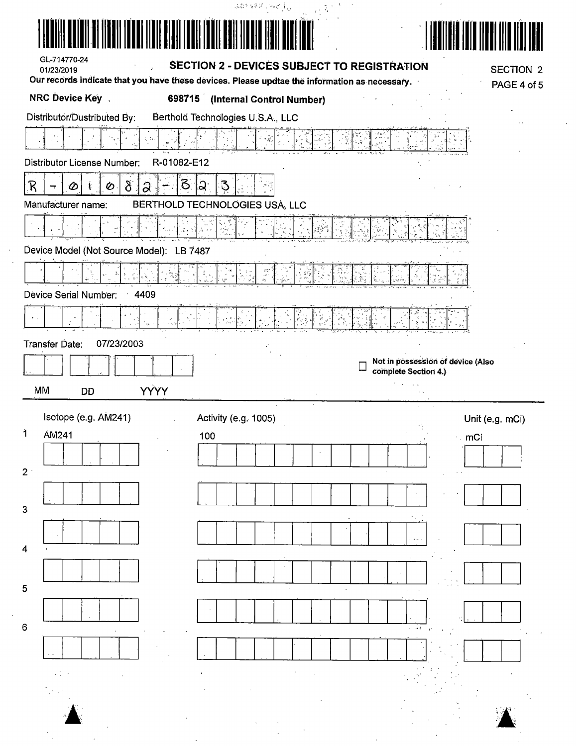|                                                                                               | 病群 硬花 网络产生                                         |                                                           |
|-----------------------------------------------------------------------------------------------|----------------------------------------------------|-----------------------------------------------------------|
| <u>III ITTI OLI IITTI EITYM</u>                                                               |                                                    |                                                           |
| GL-714770-24<br>01/23/2019                                                                    | <b>SECTION 2 - DEVICES SUBJECT TO REGISTRATION</b> | <b>SECTION 2</b>                                          |
| Our records indicate that you have these devices. Please updtae the information as necessary. |                                                    | PAGE 4 of 5                                               |
| <b>NRC Device Key</b>                                                                         | 698715 (Internal Control Number)                   |                                                           |
| Distributor/Dustributed By:                                                                   | Berthold Technologies U.S.A., LLC                  |                                                           |
| ŗ.                                                                                            |                                                    |                                                           |
| R-01082-E12<br>Distributor License Number:                                                    |                                                    |                                                           |
| $\mathcal{B}$<br>$\delta$<br>R<br>⊘<br>Ø<br>a                                                 | ୍ଠ :<br>$\Im$                                      |                                                           |
| Manufacturer name:                                                                            | BERTHOLD TECHNOLOGIES USA, LLC                     |                                                           |
|                                                                                               |                                                    |                                                           |
| Device Model (Not Source Model): LB 7487                                                      |                                                    |                                                           |
|                                                                                               |                                                    |                                                           |
| Device Serial Number:<br>4409                                                                 |                                                    |                                                           |
|                                                                                               |                                                    |                                                           |
| Transfer Date:<br>07/23/2003                                                                  |                                                    |                                                           |
|                                                                                               |                                                    | Not in possession of device (Also<br>complete Section 4.) |
|                                                                                               |                                                    |                                                           |
| <b>YYYY</b><br>MM<br>DD                                                                       |                                                    |                                                           |
|                                                                                               |                                                    |                                                           |
| Isotope (e.g. AM241)<br>1<br>AM241                                                            | Activity (e.g. 1005)<br>100                        | Unit (e.g. mCi)                                           |
|                                                                                               |                                                    | $\sim$ mCi                                                |
| $2^+$                                                                                         |                                                    |                                                           |
|                                                                                               |                                                    |                                                           |
| 3                                                                                             |                                                    |                                                           |
| 4                                                                                             |                                                    |                                                           |
|                                                                                               |                                                    |                                                           |
| 5                                                                                             |                                                    |                                                           |
|                                                                                               |                                                    |                                                           |
| $\,6\,$                                                                                       |                                                    | $\cdots$                                                  |
|                                                                                               |                                                    |                                                           |
|                                                                                               |                                                    |                                                           |
|                                                                                               |                                                    |                                                           |
|                                                                                               |                                                    |                                                           |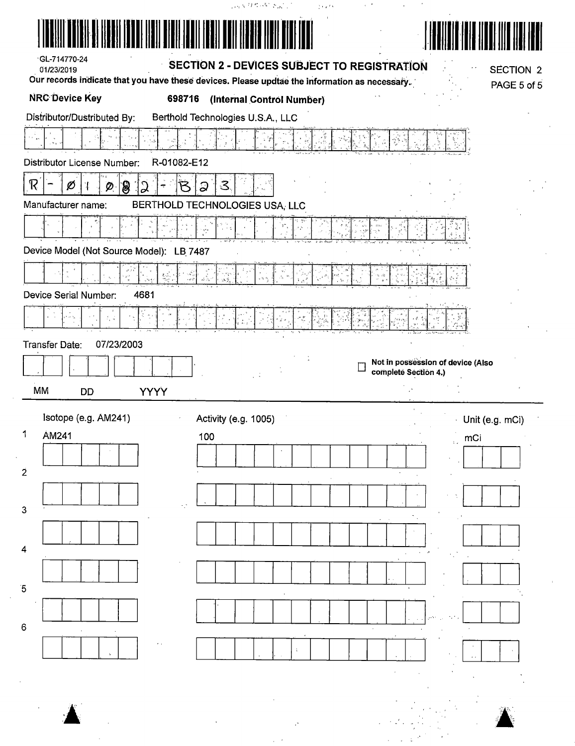| Distributor License Number:<br>${\mathcal R}$<br>ွာ<br>ႜၜ<br>Ø<br>Ø | R-01082-E12                    |                                                           |
|---------------------------------------------------------------------|--------------------------------|-----------------------------------------------------------|
|                                                                     |                                |                                                           |
|                                                                     | $\mathcal{Z}$<br>ධ             |                                                           |
| Manufacturer name:                                                  | BERTHOLD TECHNOLOGIES USA, LLC |                                                           |
|                                                                     |                                |                                                           |
| Device Model (Not Source Model): LB 7487                            |                                |                                                           |
|                                                                     |                                |                                                           |
| Device Serial Number:<br>4681                                       |                                |                                                           |
| ξ<br>大学                                                             |                                |                                                           |
| 07/23/2003<br>Transfer Date:                                        |                                |                                                           |
|                                                                     |                                | Not in possession of device (Also<br>completé Section 4.) |
| MM<br><b>DD</b><br><b>YYYY</b>                                      |                                |                                                           |
| Isotope (e.g. AM241)                                                | Activity (e.g. 1005)           | · Unit (e.g. mCi)                                         |
| AM241                                                               | 100                            | mCi<br>$\bar{\Omega}$ .                                   |
|                                                                     |                                |                                                           |
|                                                                     |                                |                                                           |
|                                                                     |                                |                                                           |
|                                                                     |                                |                                                           |
|                                                                     |                                |                                                           |
|                                                                     |                                |                                                           |
|                                                                     |                                |                                                           |
|                                                                     |                                |                                                           |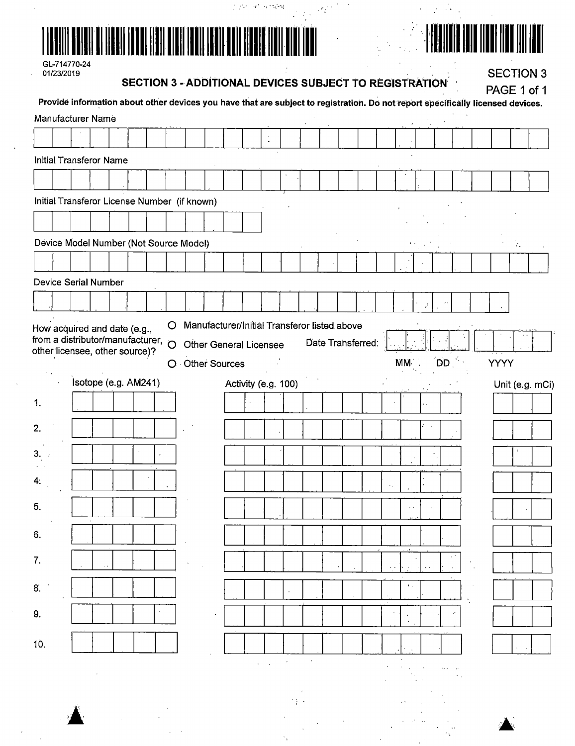|--|

# 

 $\frac{\partial}{\partial \alpha}$ 

 $\sim$ 

GL-714770-24<br>01/23/2019

 $\bar{a}$ 

SECTION 3 - ADDITIONAL DEVICES SUBJECT TO REGISTRATION

graphical system

**SECTION 3** 

|     |                                                                    |                      |  |   | <b>SECTION 3 - ADDITIONAL DEVICES SUBJECT TO REGISTRATION</b>                                                                   |                                              |  |           |                                                             |  |                   |              |                     |  | PAGE 1 of 1 |                         |                 |
|-----|--------------------------------------------------------------------|----------------------|--|---|---------------------------------------------------------------------------------------------------------------------------------|----------------------------------------------|--|-----------|-------------------------------------------------------------|--|-------------------|--------------|---------------------|--|-------------|-------------------------|-----------------|
|     |                                                                    |                      |  |   | Provide information about other devices you have that are subject to registration. Do not report specifically licensed devices. |                                              |  |           |                                                             |  |                   |              |                     |  |             |                         |                 |
|     | Manufacturer Name                                                  |                      |  |   |                                                                                                                                 |                                              |  |           |                                                             |  |                   |              |                     |  |             |                         |                 |
|     |                                                                    |                      |  |   |                                                                                                                                 |                                              |  | $\bullet$ |                                                             |  |                   |              |                     |  |             |                         |                 |
|     | <b>Initial Transferor Name</b>                                     |                      |  |   |                                                                                                                                 |                                              |  |           |                                                             |  |                   |              |                     |  |             |                         |                 |
|     |                                                                    |                      |  |   |                                                                                                                                 |                                              |  |           |                                                             |  |                   |              |                     |  |             |                         |                 |
|     |                                                                    |                      |  |   |                                                                                                                                 |                                              |  |           |                                                             |  |                   |              |                     |  |             |                         |                 |
|     |                                                                    |                      |  |   | Initial Transferor License Number (if known)                                                                                    |                                              |  |           |                                                             |  |                   |              |                     |  |             |                         |                 |
|     |                                                                    |                      |  |   |                                                                                                                                 |                                              |  |           |                                                             |  |                   |              |                     |  |             |                         |                 |
|     |                                                                    |                      |  |   | Device Model Number (Not Source Model)                                                                                          |                                              |  |           |                                                             |  |                   |              |                     |  |             | $\mathcal{E}_{\bullet}$ |                 |
|     |                                                                    |                      |  |   |                                                                                                                                 |                                              |  |           |                                                             |  |                   |              |                     |  |             |                         |                 |
|     | <b>Device Serial Number</b>                                        |                      |  |   |                                                                                                                                 |                                              |  |           |                                                             |  |                   |              |                     |  |             |                         |                 |
|     |                                                                    |                      |  |   |                                                                                                                                 |                                              |  |           |                                                             |  |                   |              |                     |  |             |                         |                 |
|     |                                                                    |                      |  |   |                                                                                                                                 |                                              |  |           |                                                             |  |                   |              |                     |  |             |                         |                 |
|     | How acquired and date (e.g.,<br>from a distributor/manufacturer, O |                      |  | O |                                                                                                                                 | Manufacturer/Initial Transferor listed above |  |           |                                                             |  |                   |              |                     |  |             |                         |                 |
|     | other licensee, other source)?                                     |                      |  |   |                                                                                                                                 | Other General Licensee                       |  |           |                                                             |  | Date Transferred: |              |                     |  |             |                         |                 |
|     |                                                                    |                      |  |   | O Other Sources                                                                                                                 |                                              |  |           |                                                             |  |                   | MM.          | <b>DD</b>           |  | <b>YYYY</b> |                         |                 |
|     |                                                                    | Isotope (e.g. AM241) |  |   |                                                                                                                                 |                                              |  |           | Activity (e.g. 100)                                         |  |                   |              |                     |  |             |                         | Unit (e.g. mCi) |
| 1.  |                                                                    |                      |  |   |                                                                                                                                 |                                              |  |           |                                                             |  |                   |              |                     |  |             |                         |                 |
| 2.  |                                                                    |                      |  |   |                                                                                                                                 |                                              |  |           |                                                             |  |                   |              |                     |  |             |                         |                 |
|     |                                                                    |                      |  |   |                                                                                                                                 |                                              |  |           |                                                             |  |                   |              |                     |  |             |                         |                 |
| 3.  |                                                                    |                      |  |   |                                                                                                                                 |                                              |  |           |                                                             |  |                   |              |                     |  |             |                         |                 |
| 4.  |                                                                    |                      |  |   |                                                                                                                                 |                                              |  |           |                                                             |  |                   |              |                     |  |             |                         |                 |
|     |                                                                    |                      |  |   |                                                                                                                                 |                                              |  |           |                                                             |  |                   |              |                     |  |             |                         |                 |
| 5,  |                                                                    |                      |  |   |                                                                                                                                 |                                              |  |           |                                                             |  |                   |              |                     |  |             |                         |                 |
| 6.  |                                                                    |                      |  |   |                                                                                                                                 |                                              |  |           |                                                             |  |                   |              |                     |  |             |                         |                 |
|     |                                                                    |                      |  |   |                                                                                                                                 |                                              |  |           |                                                             |  |                   |              |                     |  |             |                         |                 |
| 7.  |                                                                    |                      |  |   | $\sim$                                                                                                                          |                                              |  |           |                                                             |  |                   |              |                     |  |             |                         |                 |
| 8.  |                                                                    |                      |  |   |                                                                                                                                 |                                              |  |           |                                                             |  |                   | $\mathbf{1}$ |                     |  |             |                         |                 |
|     |                                                                    |                      |  |   |                                                                                                                                 |                                              |  |           |                                                             |  |                   |              |                     |  |             |                         |                 |
| 9.  |                                                                    |                      |  |   |                                                                                                                                 |                                              |  |           |                                                             |  |                   |              |                     |  |             |                         |                 |
| 10. |                                                                    |                      |  |   |                                                                                                                                 |                                              |  |           |                                                             |  |                   |              |                     |  |             |                         |                 |
|     |                                                                    |                      |  |   |                                                                                                                                 |                                              |  |           | $\mathcal{A}=\mathcal{A}$ , where $\mathcal{A}=\mathcal{A}$ |  |                   |              |                     |  |             |                         |                 |
|     |                                                                    |                      |  |   |                                                                                                                                 |                                              |  |           |                                                             |  |                   |              | $\sigma_{\rm{max}}$ |  |             |                         |                 |
|     |                                                                    |                      |  |   |                                                                                                                                 |                                              |  |           |                                                             |  |                   |              |                     |  |             |                         |                 |
|     |                                                                    |                      |  |   |                                                                                                                                 |                                              |  |           | 大型                                                          |  |                   |              |                     |  |             |                         |                 |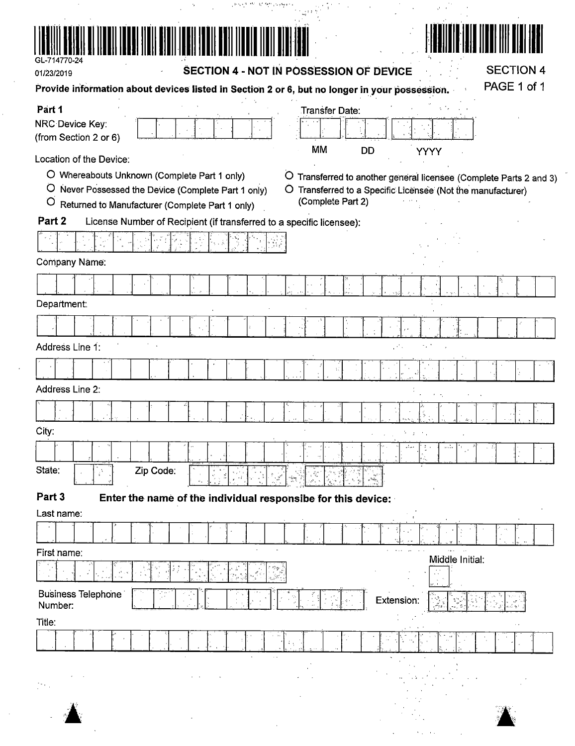| GL-714770-24<br><b>SECTION 4</b>                                                                                                                                                                                                                                                                                                                 |
|--------------------------------------------------------------------------------------------------------------------------------------------------------------------------------------------------------------------------------------------------------------------------------------------------------------------------------------------------|
| SECTION 4 - NOT IN POSSESSION OF DEVICE<br>01/23/2019<br>PAGE 1 of 1<br>Provide information about devices listed in Section 2 or 6, but no longer in your possession.                                                                                                                                                                            |
| Part 1                                                                                                                                                                                                                                                                                                                                           |
| Transfer Date:<br>NRC Device Key:<br>(from Section 2 or 6)                                                                                                                                                                                                                                                                                       |
| <b>MM</b><br>DD<br>YYYY<br>Location of the Device:                                                                                                                                                                                                                                                                                               |
| O Whereabouts Unknown (Complete Part 1 only)<br>$\circ$<br>Transferred to another general licensee (Complete Parts 2 and 3)<br>$\circ$<br>Never Possessed the Device (Complete Part 1 only)<br>Transferred to a Specific Licensee (Not the manufacturer)<br>O<br>(Complete Part 2)<br>$\circ$<br>Returned to Manufacturer (Complete Part 1 only) |
| Part 2<br>License Number of Recipient (if transferred to a specific licensee):                                                                                                                                                                                                                                                                   |
|                                                                                                                                                                                                                                                                                                                                                  |
| Company Name:                                                                                                                                                                                                                                                                                                                                    |
|                                                                                                                                                                                                                                                                                                                                                  |
| Department:                                                                                                                                                                                                                                                                                                                                      |
|                                                                                                                                                                                                                                                                                                                                                  |
| Address Line 1:                                                                                                                                                                                                                                                                                                                                  |
|                                                                                                                                                                                                                                                                                                                                                  |
| Address Line 2:                                                                                                                                                                                                                                                                                                                                  |
|                                                                                                                                                                                                                                                                                                                                                  |
| City:<br>あいまい かい                                                                                                                                                                                                                                                                                                                                 |
| State:<br>Zip Code:<br>$\mathcal{E}_\mathrm{c}$                                                                                                                                                                                                                                                                                                  |
|                                                                                                                                                                                                                                                                                                                                                  |
| Part 3<br>Enter the name of the individual responsibe for this device:<br>Last name:                                                                                                                                                                                                                                                             |
|                                                                                                                                                                                                                                                                                                                                                  |
| cars.<br>First name:<br>Middle Initial:                                                                                                                                                                                                                                                                                                          |
|                                                                                                                                                                                                                                                                                                                                                  |
| <b>Business Telephone</b><br>Extension:<br>Number:                                                                                                                                                                                                                                                                                               |
| Title:                                                                                                                                                                                                                                                                                                                                           |
|                                                                                                                                                                                                                                                                                                                                                  |
|                                                                                                                                                                                                                                                                                                                                                  |
|                                                                                                                                                                                                                                                                                                                                                  |

 $\sim 10^{-1}$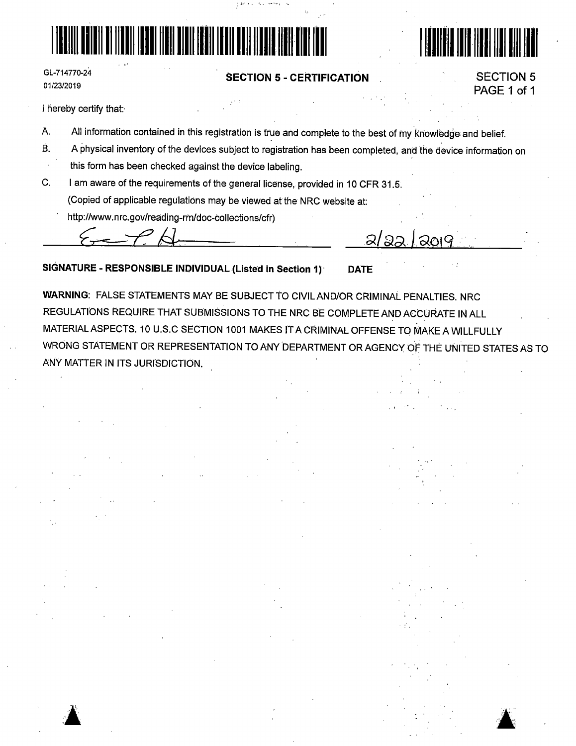

GL-714770-24 01/23/2019

### **SECTION 5** - **CERTIFICATION**



.111111111111111111111111111111

I hereby certify that:·

 $\blacktriangle$  . **.a** 

- A. All information contained in this registration is true and complete to the best of my knowledge and belief.
- B. A physical inventory of the devices subject to registration has been completed, and the device information on this form has been checked against the device labeling.
- C. I am aware of the requirements of the general license, provided in 10 CFR 31.5. (Copied of applicable regulations may be viewed at the NRC website at:
	- http://www.nrc.gov/reading-rm/doc-collections/cfr)

**SIGNATURE** - **RESPONSIBLE INDIVIDUAL (Listed in Section 1)** · **DATE** 

**WARNING:** FALSE STATEMENTS MAY BE SUBJECT TO CIVILAND/OR CRIMINAL PENALTIES. NRC REGULATl'ONS REQUIRE THAT SUBMISSIONS TO THE NRC BE COMPLETE AND ACCURATE IN ALL MATERIAL ASPECTS. 10 U.S.C SECTION 1001 MAKES IT A CRIMINAL OFFENSE TO MAKE A WILLFULLY WRONG STATEMENT OR REPRESENTATION TO ANY DEPARTMENT OR AGENCY OF THE UNITED STATES AS TO ANY MATTER IN ITS JURISDICTION.